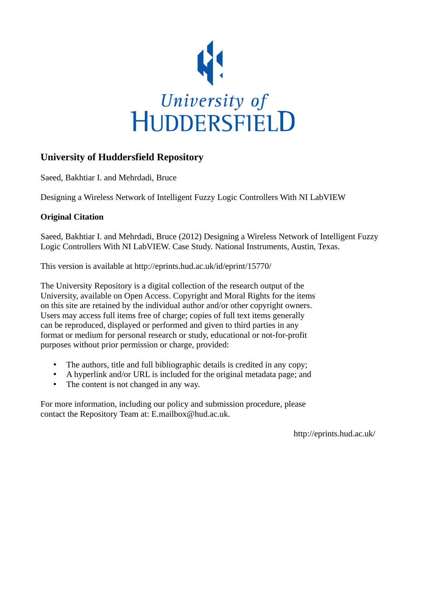

## **University of Huddersfield Repository**

Saeed, Bakhtiar I. and Mehrdadi, Bruce

Designing a Wireless Network of Intelligent Fuzzy Logic Controllers With NI LabVIEW

### **Original Citation**

Saeed, Bakhtiar I. and Mehrdadi, Bruce (2012) Designing a Wireless Network of Intelligent Fuzzy Logic Controllers With NI LabVIEW. Case Study. National Instruments, Austin, Texas.

This version is available at http://eprints.hud.ac.uk/id/eprint/15770/

The University Repository is a digital collection of the research output of the University, available on Open Access. Copyright and Moral Rights for the items on this site are retained by the individual author and/or other copyright owners. Users may access full items free of charge; copies of full text items generally can be reproduced, displayed or performed and given to third parties in any format or medium for personal research or study, educational or not-for-profit purposes without prior permission or charge, provided:

- The authors, title and full bibliographic details is credited in any copy;
- A hyperlink and/or URL is included for the original metadata page; and
- The content is not changed in any way.

For more information, including our policy and submission procedure, please contact the Repository Team at: E.mailbox@hud.ac.uk.

http://eprints.hud.ac.uk/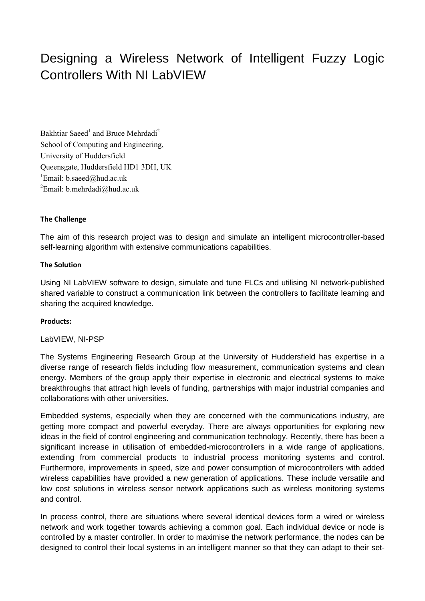# Designing a Wireless Network of Intelligent Fuzzy Logic Controllers With NI LabVIEW

Bakhtiar Saeed<sup>1</sup> and Bruce Mehrdadi<sup>2</sup> School of Computing and Engineering, University of Huddersfield Queensgate, Huddersfield HD1 3DH, UK <sup>1</sup>Email: [b.saeed@hud.ac.uk](mailto:b.saeed@hud.ac.uk) <sup>2</sup>Email: [b.mehrdadi@hud.ac.uk](mailto:b.mehrdadi@hud.ac.uk)

#### **The Challenge**

The aim of this research project was to design and simulate an intelligent microcontroller-based self-learning algorithm with extensive communications capabilities.

#### **The Solution**

Using NI LabVIEW software to design, simulate and tune FLCs and utilising NI network-published shared variable to construct a communication link between the controllers to facilitate learning and sharing the acquired knowledge.

#### **Products:**

#### LabVIEW, NI-PSP

The Systems Engineering Research Group at the University of Huddersfield has expertise in a diverse range of research fields including flow measurement, communication systems and clean energy. Members of the group apply their expertise in electronic and electrical systems to make breakthroughs that attract high levels of funding, partnerships with major industrial companies and collaborations with other universities.

Embedded systems, especially when they are concerned with the communications industry, are getting more compact and powerful everyday. There are always opportunities for exploring new ideas in the field of control engineering and communication technology. Recently, there has been a significant increase in utilisation of embedded-microcontrollers in a wide range of applications, extending from commercial products to industrial process monitoring systems and control. Furthermore, improvements in speed, size and power consumption of microcontrollers with added wireless capabilities have provided a new generation of applications. These include versatile and low cost solutions in wireless sensor network applications such as wireless monitoring systems and control.

In process control, there are situations where several identical devices form a wired or wireless network and work together towards achieving a common goal. Each individual device or node is controlled by a master controller. In order to maximise the network performance, the nodes can be designed to control their local systems in an intelligent manner so that they can adapt to their set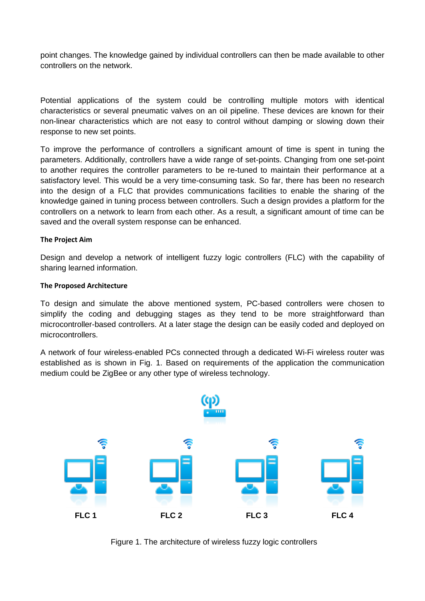point changes. The knowledge gained by individual controllers can then be made available to other controllers on the network.

Potential applications of the system could be controlling multiple motors with identical characteristics or several pneumatic valves on an oil pipeline. These devices are known for their non-linear characteristics which are not easy to control without damping or slowing down their response to new set points.

To improve the performance of controllers a significant amount of time is spent in tuning the parameters. Additionally, controllers have a wide range of set-points. Changing from one set-point to another requires the controller parameters to be re-tuned to maintain their performance at a satisfactory level. This would be a very time-consuming task. So far, there has been no research into the design of a FLC that provides communications facilities to enable the sharing of the knowledge gained in tuning process between controllers. Such a design provides a platform for the controllers on a network to learn from each other. As a result, a significant amount of time can be saved and the overall system response can be enhanced.

#### **The Project Aim**

Design and develop a network of intelligent fuzzy logic controllers (FLC) with the capability of sharing learned information.

#### **The Proposed Architecture**

To design and simulate the above mentioned system, PC-based controllers were chosen to simplify the coding and debugging stages as they tend to be more straightforward than microcontroller-based controllers. At a later stage the design can be easily coded and deployed on microcontrollers.

A network of four wireless-enabled PCs connected through a dedicated Wi-Fi wireless router was established as is shown in Fig. 1. Based on requirements of the application the communication medium could be ZigBee or any other type of wireless technology.



Figure 1. The architecture of wireless fuzzy logic controllers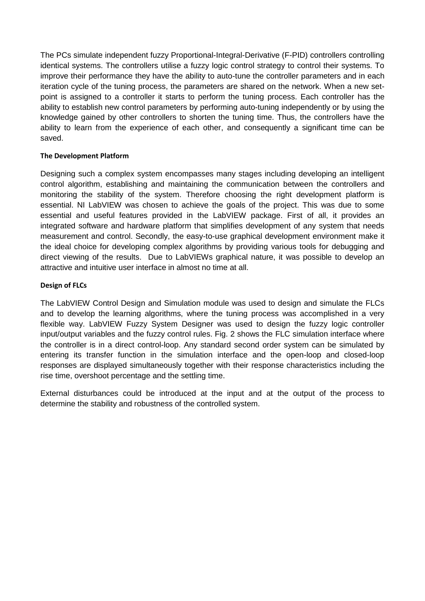The PCs simulate independent fuzzy Proportional-Integral-Derivative (F-PID) controllers controlling identical systems. The controllers utilise a fuzzy logic control strategy to control their systems. To improve their performance they have the ability to auto-tune the controller parameters and in each iteration cycle of the tuning process, the parameters are shared on the network. When a new setpoint is assigned to a controller it starts to perform the tuning process. Each controller has the ability to establish new control parameters by performing auto-tuning independently or by using the knowledge gained by other controllers to shorten the tuning time. Thus, the controllers have the ability to learn from the experience of each other, and consequently a significant time can be saved.

#### **The Development Platform**

Designing such a complex system encompasses many stages including developing an intelligent control algorithm, establishing and maintaining the communication between the controllers and monitoring the stability of the system. Therefore choosing the right development platform is essential. NI LabVIEW was chosen to achieve the goals of the project. This was due to some essential and useful features provided in the LabVIEW package. First of all, it provides an integrated software and hardware platform that simplifies development of any system that needs measurement and control. Secondly, the easy-to-use graphical development environment make it the ideal choice for developing complex algorithms by providing various tools for debugging and direct viewing of the results. Due to LabVIEWs graphical nature, it was possible to develop an attractive and intuitive user interface in almost no time at all.

#### **Design of FLCs**

The LabVIEW Control Design and Simulation module was used to design and simulate the FLCs and to develop the learning algorithms, where the tuning process was accomplished in a very flexible way. LabVIEW Fuzzy System Designer was used to design the fuzzy logic controller input/output variables and the fuzzy control rules. Fig. 2 shows the FLC simulation interface where the controller is in a direct control-loop. Any standard second order system can be simulated by entering its transfer function in the simulation interface and the open-loop and closed-loop responses are displayed simultaneously together with their response characteristics including the rise time, overshoot percentage and the settling time.

External disturbances could be introduced at the input and at the output of the process to determine the stability and robustness of the controlled system.